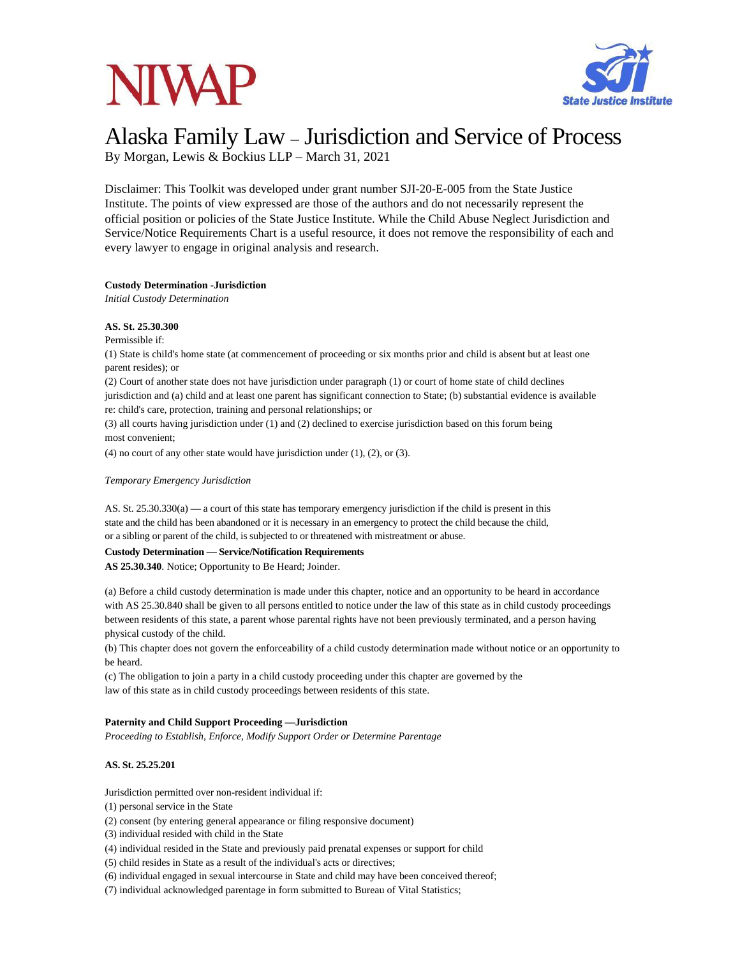# **NIVAP**



## Alaska Family Law – Jurisdiction and Service of Process

By Morgan, Lewis & Bockius LLP – March 31, 2021

Disclaimer: This Toolkit was developed under grant number SJI-20-E-005 from the State Justice Institute. The points of view expressed are those of the authors and do not necessarily represent the official position or policies of the State Justice Institute. While the Child Abuse Neglect Jurisdiction and Service/Notice Requirements Chart is a useful resource, it does not remove the responsibility of each and every lawyer to engage in original analysis and research.

### **Custody Determination -Jurisdiction**

*Initial Custody Determination*

### **AS. St. 25.30.300**

Permissible if:

(1) State is child's home state (at commencement of proceeding or six months prior and child is absent but at least one parent resides); or

(2) Court of another state does not have jurisdiction under paragraph (1) or court of home state of child declines

jurisdiction and (a) child and at least one parent has significant connection to State; (b) substantial evidence is available re: child's care, protection, training and personal relationships; or

(3) all courts having jurisdiction under (1) and (2) declined to exercise jurisdiction based on this forum being most convenient;

(4) no court of any other state would have jurisdiction under  $(1)$ ,  $(2)$ , or  $(3)$ .

### *Temporary Emergency Jurisdiction*

AS. St. 25.30.330(a) — a court of this state has temporary emergency jurisdiction if the child is present in this state and the child has been abandoned or it is necessary in an emergency to protect the child because the child, or a sibling or parent of the child, is subjected to or threatened with mistreatment or abuse.

### **Custody Determination — Service/Notification Requirements**

**AS 25.30.340**. Notice; Opportunity to Be Heard; Joinder.

(a) Before a child custody determination is made under this chapter, notice and an opportunity to be heard in accordance with AS 25.30.840 shall be given to all persons entitled to notice under the law of this state as in child custody proceedings between residents of this state, a parent whose parental rights have not been previously terminated, and a person having physical custody of the child.

(b) This chapter does not govern the enforceability of a child custody determination made without notice or an opportunity to be heard.

(c) The obligation to join a party in a child custody proceeding under this chapter are governed by the law of this state as in child custody proceedings between residents of this state.

### **Paternity and Child Support Proceeding —Jurisdiction**

*Proceeding to Establish, Enforce, Modify Support Order or Determine Parentage*

### **AS. St. 25.25.201**

Jurisdiction permitted over non-resident individual if:

(1) personal service in the State

- (2) consent (by entering general appearance or filing responsive document)
- (3) individual resided with child in the State
- (4) individual resided in the State and previously paid prenatal expenses or support for child

(5) child resides in State as a result of the individual's acts or directives;

(6) individual engaged in sexual intercourse in State and child may have been conceived thereof;

(7) individual acknowledged parentage in form submitted to Bureau of Vital Statistics;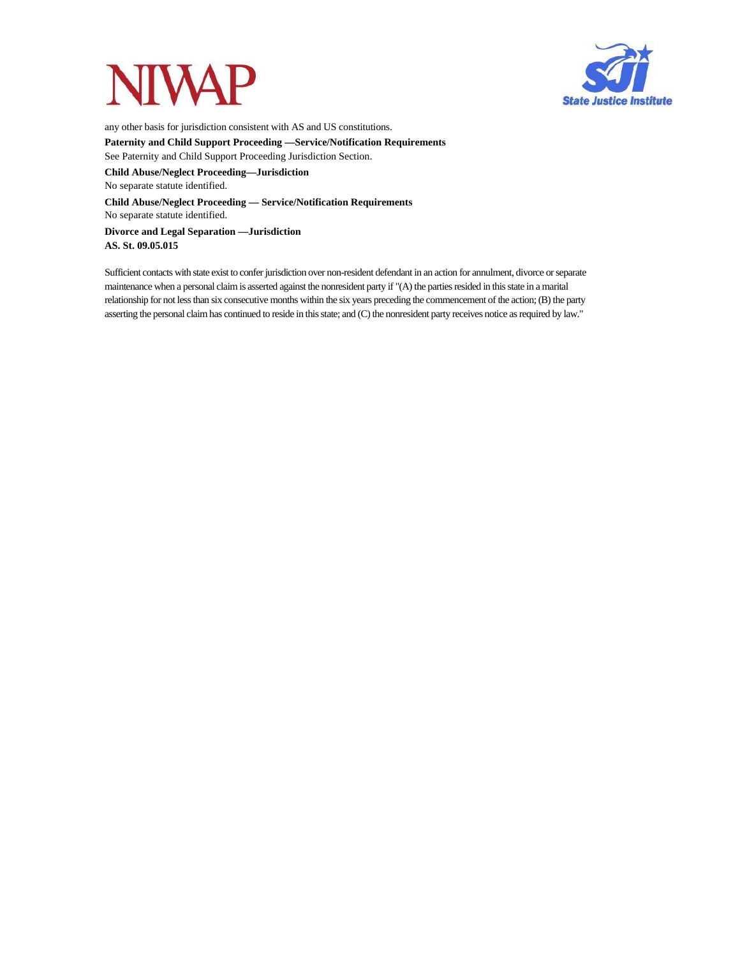



any other basis for jurisdiction consistent with AS and US constitutions. **Paternity and Child Support Proceeding —Service/Notification Requirements** See Paternity and Child Support Proceeding Jurisdiction Section.

**Child Abuse/Neglect Proceeding—Jurisdiction** No separate statute identified.

**Child Abuse/Neglect Proceeding — Service/Notification Requirements** No separate statute identified.

**Divorce and Legal Separation —Jurisdiction AS. St. 09.05.015**

Sufficient contacts with state exist to confer jurisdiction over non-resident defendant in an action for annulment, divorce orseparate maintenance when a personal claim is asserted against the nonresident party if "(A) the parties resided in this state in a marital relationship for not lessthan six consecutive months within the six years preceding the commencement of the action;(B) the party asserting the personal claim has continued to reside in this state; and (C) the nonresident party receives notice as required by law."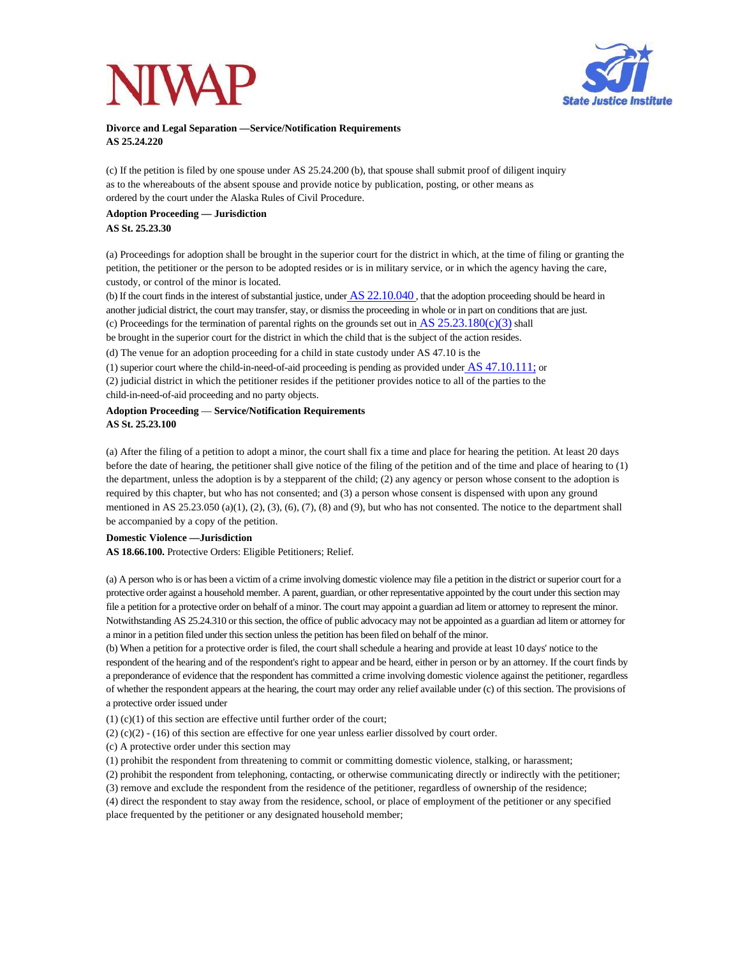

### **Divorce and Legal Separation —Service/Notification Requirements AS 25.24.220**

(c) If the petition is filed by one spouse under AS 25.24.200 (b), that spouse shall submit proof of diligent inquiry as to the whereabouts of the absent spouse and provide notice by publication, posting, or other means as ordered by the court under the Alaska Rules of Civil Procedure.

### **Adoption Proceeding — Jurisdiction AS St. 25.23.30**

(a) Proceedings for adoption shall be brought in the superior court for the district in which, at the time of filing or granting the petition, the petitioner or the person to be adopted resides or is in military service, or in which the agency having the care, custody, or control of the minor is located.

(b) If the court finds in the interest of substantial justice, under  $AS$   $22.10.040$ , that the adoption proceeding should be heard in another judicial district, the court may transfer, stay, or dismiss the proceeding in whole or in part on conditions that are just. (c) Proceedings for the termination of parental rights on the grounds set out in  $\overline{AS}\,25.23.180(c)(3)$  shall

be brought in the superior court for the district in which the child that is the subject of the action resides.

(d) The venue for an adoption proceeding for a child in state custody under AS 47.10 is the

(1) superior court where the child-in-need-of-aid proceeding is pending as provided under AS 47.10.111; or

(2) judicial district in which the petitioner resides if the petitioner provides notice to all of the parties to the child-in-need-of-aid proceeding and no party objects.

### **Adoption Proceeding** — **Service/Notification Requirements AS St. 25.23.100**

(a) After the filing of a petition to adopt a minor, the court shall fix a time and place for hearing the petition. At least 20 days before the date of hearing, the petitioner shall give notice of the filing of the petition and of the time and place of hearing to (1) the department, unless the adoption is by a stepparent of the child; (2) any agency or person whose consent to the adoption is required by this chapter, but who has not consented; and (3) a person whose consent is dispensed with upon any ground mentioned in AS 25.23.050 (a)(1), (2), (3), (6), (7), (8) and (9), but who has not consented. The notice to the department shall be accompanied by a copy of the petition.

### **Domestic Violence —Jurisdiction**

**AS 18.66.100.** Protective Orders: Eligible Petitioners; Relief.

(a) A person who is or has been a victim of a crime involving domestic violence may file a petition in the district orsuperior court for a protective order against a household member. A parent, guardian, or other representative appointed by the court under thissection may file a petition for a protective order on behalf of a minor. The court may appoint a guardian ad litem or attorney to represent the minor. Notwithstanding AS 25.24.310 or thissection, the office of public advocacy may not be appointed as a guardian ad litem or attorney for a minor in a petition filed under thissection unless the petition has been filed on behalf of the minor.

(b) When a petition for a protective order is filed, the court shall schedule a hearing and provide at least 10 days' notice to the respondent of the hearing and of the respondent's right to appear and be heard, either in person or by an attorney. If the court finds by a preponderance of evidence that the respondent has committed a crime involving domestic violence against the petitioner, regardless of whether the respondent appears at the hearing, the court may order any relief available under (c) of this section. The provisions of a protective order issued under

 $(1)$  (c)(1) of this section are effective until further order of the court;

 $(2)$  (c)(2) - (16) of this section are effective for one year unless earlier dissolved by court order.

(c) A protective order under this section may

(1) prohibit the respondent from threatening to commit or committing domestic violence, stalking, or harassment;

(2) prohibit the respondent from telephoning, contacting, or otherwise communicating directly or indirectly with the petitioner;

(3) remove and exclude the respondent from the residence of the petitioner, regardless of ownership of the residence; (4) direct the respondent to stay away from the residence, school, or place of employment of the petitioner or any specified place frequented by the petitioner or any designated household member;